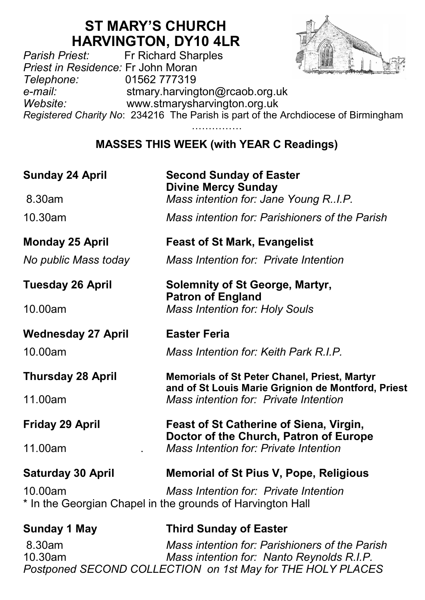# **ST MARY'S CHURCH**

**HARVINGTON, DY10 4LR**<br>Fr Richard Sharples *Parish Priest:* Fr Richard Sharples *Priest in Residence:* Fr John Moran *Telephone:* 01562 777319 *e-mail:* stmary.harvington@rcaob.org.uk *Website:* www.stmarysharvington.org.uk *Registered Charity No*: 234216 The Parish is part of the Archdiocese of Birmingham ………………

# **MASSES THIS WEEK (with YEAR C Readings)**

| <b>Sunday 24 April</b>    | <b>Second Sunday of Easter</b><br><b>Divine Mercy Sunday</b>                                              |
|---------------------------|-----------------------------------------------------------------------------------------------------------|
| 8.30am                    | Mass intention for: Jane Young R.I.P.                                                                     |
| 10.30am                   | Mass intention for: Parishioners of the Parish                                                            |
| <b>Monday 25 April</b>    | <b>Feast of St Mark, Evangelist</b>                                                                       |
| No public Mass today      | Mass Intention for: Private Intention                                                                     |
| <b>Tuesday 26 April</b>   | <b>Solemnity of St George, Martyr,</b><br><b>Patron of England</b>                                        |
| 10.00am                   | <b>Mass Intention for: Holy Souls</b>                                                                     |
| <b>Wednesday 27 April</b> | <b>Easter Feria</b>                                                                                       |
| 10.00am                   | Mass Intention for: Keith Park R.I.P.                                                                     |
| <b>Thursday 28 April</b>  | <b>Memorials of St Peter Chanel, Priest, Martyr</b><br>and of St Louis Marie Grignion de Montford, Priest |
| 11.00am                   | Mass intention for: Private Intention                                                                     |
| <b>Friday 29 April</b>    | Feast of St Catherine of Siena, Virgin,<br>Doctor of the Church, Patron of Europe                         |
| 11.00am                   | Mass Intention for: Private Intention                                                                     |
| <b>Saturday 30 April</b>  | <b>Memorial of St Pius V, Pope, Religious</b>                                                             |
| 10.00am                   | Mass Intention for: Private Intention<br>* In the Georgian Chapel in the grounds of Harvington Hall       |
| <b>Sunday 1 May</b>       | <b>Third Sunday of Easter</b>                                                                             |
| 8.30am<br>10 20am         | Mass intention for: Parishioners of the Parish<br>Mass intention for: Nanto Peynolds PIP                  |

10.30am *Mass intention for: Nanto Reynolds R.I.P. Postponed SECOND COLLECTION on 1st May for THE HOLY PLACES*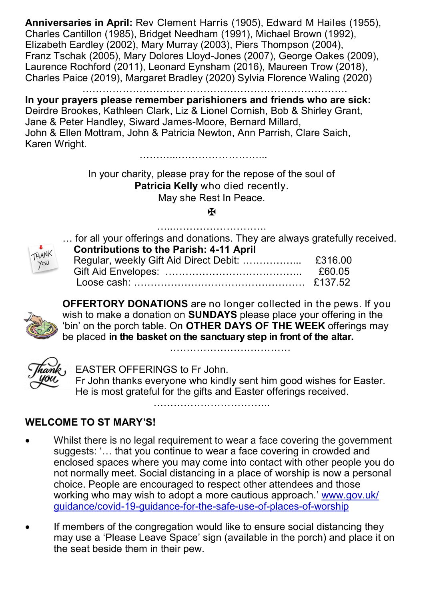**Anniversaries in April:** Rev Clement Harris (1905), Edward M Hailes (1955), Charles Cantillon (1985), Bridget Needham (1991), Michael Brown (1992), Elizabeth Eardley (2002), Mary Murray (2003), Piers Thompson (2004), Franz Tschak (2005), Mary Dolores Lloyd-Jones (2007), George Oakes (2009), Laurence Rochford (2011), Leonard Eynsham (2016), Maureen Trow (2018), Charles Paice (2019), Margaret Bradley (2020) Sylvia Florence Waling (2020)

…………………………………………………………………….

**In your prayers please remember parishioners and friends who are sick:**  Deirdre Brookes, Kathleen Clark, Liz & Lionel Cornish, Bob & Shirley Grant, Jane & Peter Handley, Siward James-Moore, Bernard Millard, John & Ellen Mottram, John & Patricia Newton, Ann Parrish, Clare Saich, Karen Wright.

………...……………………...

In your charity, please pray for the repose of the soul of **Patricia Kelly** who died recently. May she Rest In Peace.

## Ж …..……………………….



… for all your offerings and donations. They are always gratefully received.  **Contributions to the Parish: 4-11 April**

| £60 05 |
|--------|
|        |



**OFFERTORY DONATIONS** are no longer collected in the pews. If you wish to make a donation on **SUNDAYS** please place your offering in the 'bin' on the porch table. On **OTHER DAYS OF THE WEEK** offerings may be placed **in the basket on the sanctuary step in front of the altar.** 

 $\mathcal{L}_{\mathcal{M}}$  . The contract of the contract of the contract of the contract of the contract of the contract of



EASTER OFFERINGS to Fr John.

Fr John thanks everyone who kindly sent him good wishes for Easter. He is most grateful for the gifts and Easter offerings received.

…………………………

#### **WELCOME TO ST MARY'S!**

- Whilst there is no legal requirement to wear a face covering the government suggests: '… that you continue to wear a face covering in crowded and enclosed spaces where you may come into contact with other people you do not normally meet. Social distancing in a place of worship is now a personal choice. People are encouraged to respect other attendees and those working who may wish to adopt a more cautious approach.' www.gov.uk/ guidance/covid-19-guidance-for-the-safe-use-of-places-of-worship
- If members of the congregation would like to ensure social distancing they may use a 'Please Leave Space' sign (available in the porch) and place it on the seat beside them in their pew.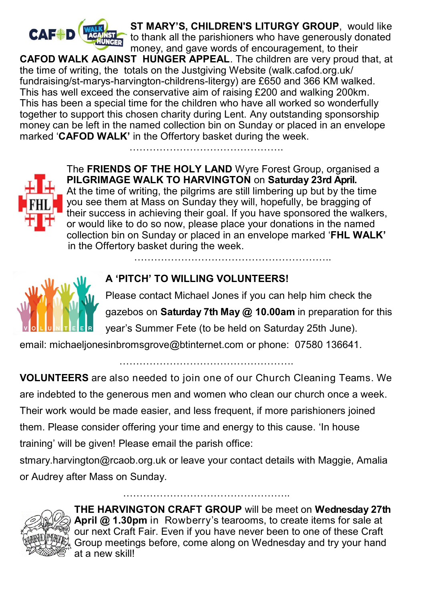

 **ST MARY'S, CHILDREN'S LITURGY GROUP**, would like to thank all the parishioners who have generously donated money, and gave words of encouragement, to their

**CAFOD WALK AGAINST HUNGER APPEAL**. The children are very proud that, at the time of writing, the totals on the Justgiving Website (walk.cafod.org.uk/ fundraising/st-marys-harvington-childrens-litergy) are £650 and 366 KM walked. This has well exceed the conservative aim of raising £200 and walking 200km. This has been a special time for the children who have all worked so wonderfully together to support this chosen charity during Lent. Any outstanding sponsorship money can be left in the named collection bin on Sunday or placed in an envelope marked '**CAFOD WALK'** in the Offertory basket during the week.



The **FRIENDS OF THE HOLY LAND** Wyre Forest Group, organised a **PILGRIMAGE WALK TO HARVINGTON** on **Saturday 23rd April.**  At the time of writing, the pilgrims are still limbering up but by the time you see them at Mass on Sunday they will, hopefully, be bragging of their success in achieving their goal. If you have sponsored the walkers, or would like to do so now, please place your donations in the named collection bin on Sunday or placed in an envelope marked '**FHL WALK'**  in the Offertory basket during the week.

…………………………………………………..



### **A 'PITCH' TO WILLING VOLUNTEERS!**

Please contact Michael Jones if you can help him check the gazebos on **Saturday 7th May @ 10.00am** in preparation for this year's Summer Fete (to be held on Saturday 25th June).

email: michaeljonesinbromsgrove@btinternet.com or phone: 07580 136641.

**VOLUNTEERS** are also needed to join one of our Church Cleaning Teams. We are indebted to the generous men and women who clean our church once a week. Their work would be made easier, and less frequent, if more parishioners joined them. Please consider offering your time and energy to this cause. 'In house training' will be given! Please email the parish office:

…………………………………………….

stmary.harvington@rcaob.org.uk or leave your contact details with Maggie, Amalia or Audrey after Mass on Sunday.

…………………………………………..



**THE HARVINGTON CRAFT GROUP** will be meet on **Wednesday 27th April @ 1.30pm** in Rowberry's tearooms, to create items for sale at our next Craft Fair. Even if you have never been to one of these Craft Group meetings before, come along on Wednesday and try your hand at a new skill!